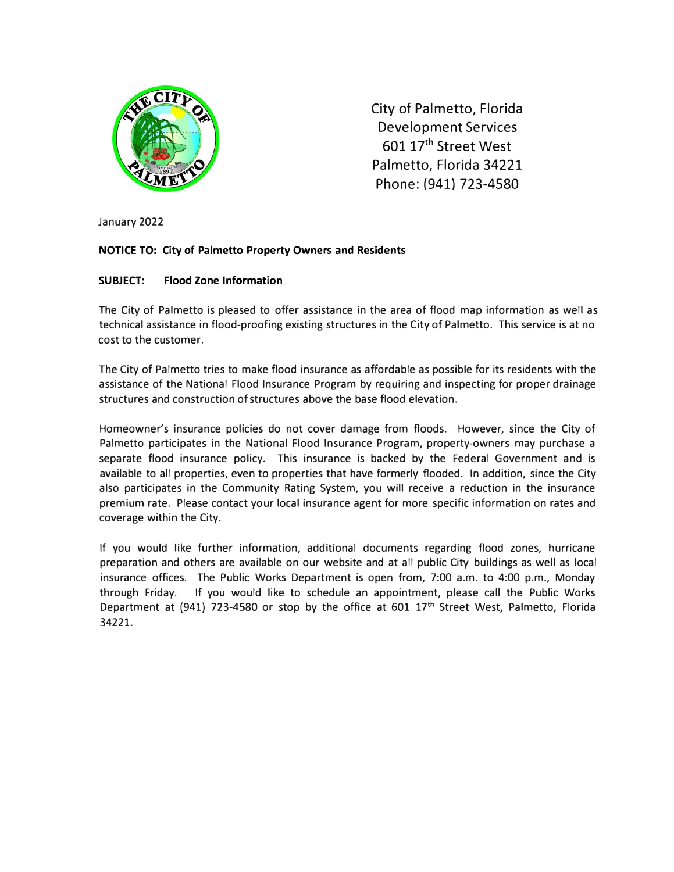

City of Palmetto, Florida Development Services 601 17<sup>th</sup> Street West Palmetto, Florida 34221 Phone: (941) 723-4580

January 2022

### **NOTICE TO: City of Palmetto Property Owners and Residents**

### **SUBJECT: Flood Zone Information**

The City of Palmetto is pleased to offer assistance in the area of flood map information as well as technical assistance in flood-proofing existing structures in the City of Palmetto. This service is at no cost to the customer.

The City of Palmetto tries to make flood insurance as affordable as possible for its residents with the assistance of the National Flood Insurance Program by requiring and inspecting for proper drainage structures and construction of structures above the base flood elevation.

Homeowner's insurance policies do not cover damage from floods. However, since the City of Palmetto participates in the National Flood Insurance Program, property-owners may purchase a separate flood insurance policy. This insurance is backed by the Federal Government and is available to all properties, even to properties that have formerly flooded. In addition, since the City also participates in the Community Rating System, you will receive a reduction in the insurance premium rate. Please contact your local insurance agent for more specific information on rates and coverage within the City.

If you would like further information, additional documents regarding flood zones, hurricane preparation and others are available on our website and at all public City buildings as well as local insurance offices. The Public Works Department is open from, 7:00 a.m. to 4:00 p.m., Monday through Friday. If you would like to schedule an appointment, please call the Public Works Department at (941) 723-4580 or stop by the office at 601 17 **th** Street West, Palmetto, Florida 34221.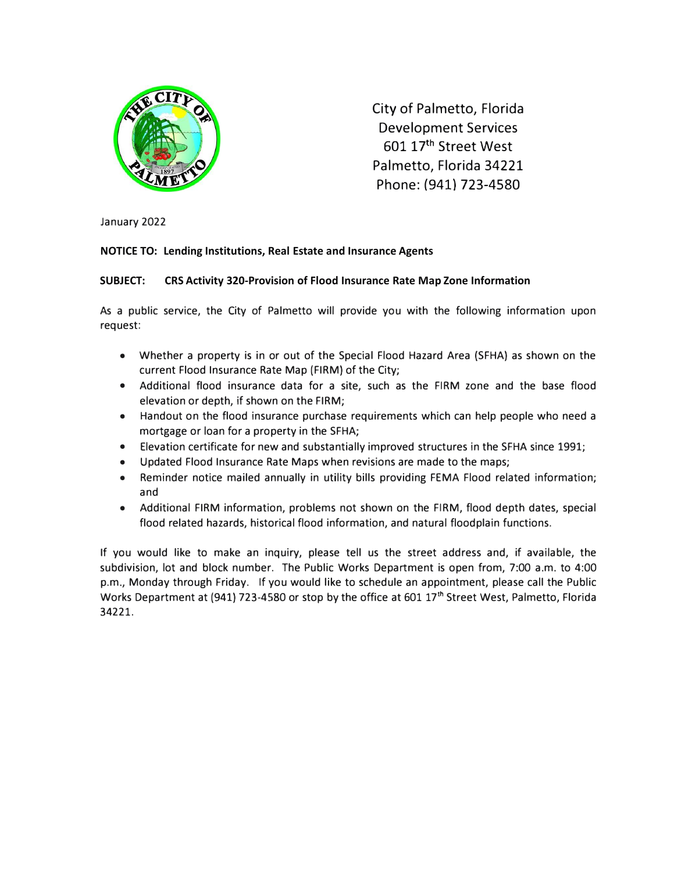

City of Palmetto, Florida Development Services 601 17<sup>th</sup> Street West Palmetto, Florida 34221 Phone: (941) 723-4580

January 2022

### **NOTICE TO: Lending Institutions, Real Estate and Insurance Agents**

### **SUBJECT: CRS Activity 320-Provision of Flood Insurance Rate Map Zone Information**

As a public service, the City of Palmetto will provide you with the following information upon request:

- Whether a property is in or out of the Special Flood Hazard Area (SFHA} as shown on the current Flood Insurance Rate Map (FIRM} of the City;
- Additional flood insurance data for a site, such as the FIRM zone and the base flood elevation or depth, if shown on the FIRM;
- Handout on the flood insurance purchase requirements which can help people who need a mortgage or loan for a property in the SFHA;
- Elevation certificate for new and substantially improved structures in the SFHA since 1991;
- Updated Flood Insurance Rate Maps when revisions are made to the maps;
- Reminder notice mailed annually in utility bills providing FEMA Flood related information; and
- Additional FIRM information, problems not shown on the FIRM, flood depth dates, special flood related hazards, historical flood information, and natural floodplain functions.

If you would like to make an inquiry, please tell us the street address and, if available, the subdivision, lot and block number. The Public Works Department is open from, 7:00 a.m. to 4:00 p.m., Monday through Friday. If you would like to schedule an appointment, please call the Public Works Department at (941) 723-4580 or stop by the office at 601 17<sup>th</sup> Street West, Palmetto, Florida 34221.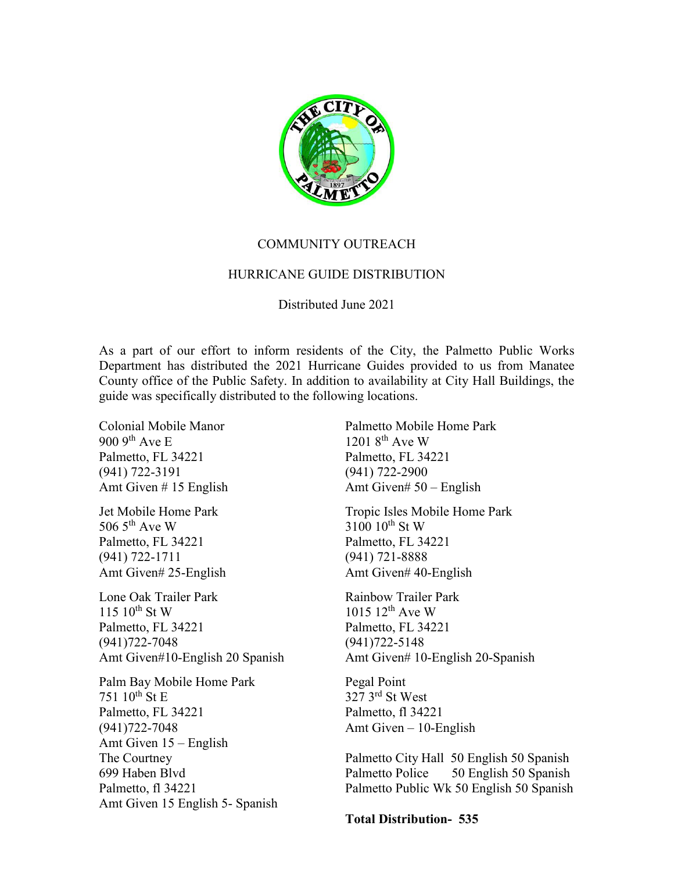

# COMMUNITY OUTREACH

# HURRICANE GUIDE DISTRIBUTION

### Distributed June 2021

As a part of our effort to inform residents of the City, the Palmetto Public Works Department has distributed the 2021 Hurricane Guides provided to us from Manatee County office of the Public Safety. In addition to availability at City Hall Buildings, the guide was specifically distributed to the following locations.

Colonial Mobile Manor  $9009$ <sup>th</sup> Ave E Palmetto, FL 34221 (941) 722-3191 Amt Given # 15 English

Jet Mobile Home Park 506  $5<sup>th</sup>$  Ave W Palmetto, FL 34221 (941) 722-1711 Amt Given# 25-English

Lone Oak Trailer Park  $115 \; 10^{th}$  St W Palmetto, FL 34221 (941)722-7048 Amt Given#10-English 20 Spanish

Palm Bay Mobile Home Park 751  $10^{th}$  St E Palmetto, FL 34221 (941)722-7048 Amt Given 15 – English The Courtney 699 Haben Blvd Palmetto, fl 34221 Amt Given 15 English 5- Spanish Palmetto Mobile Home Park  $1201$   $8^{th}$  Ave W Palmetto, FL 34221 (941) 722-2900 Amt Given# 50 – English

Tropic Isles Mobile Home Park  $3100\ 10^{th}$  St W Palmetto, FL 34221 (941) 721-8888 Amt Given# 40-English

Rainbow Trailer Park  $1015 12^{th}$  Ave W Palmetto, FL 34221 (941)722-5148 Amt Given# 10-English 20-Spanish

Pegal Point 327 3rd St West Palmetto, fl 34221 Amt Given – 10-English

Palmetto City Hall 50 English 50 Spanish Palmetto Police 50 English 50 Spanish Palmetto Public Wk 50 English 50 Spanish

**Total Distribution- 535**